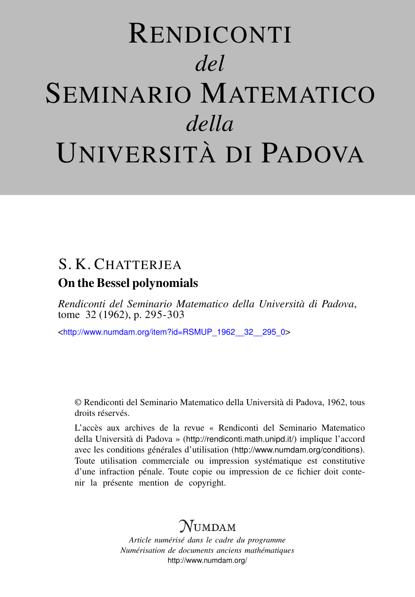# RENDICONTI *del* SEMINARIO MATEMATICO *della* UNIVERSITÀ DI PADOVA

# S. K. CHATTERIEA On the Bessel polynomials

*Rendiconti del Seminario Matematico della Università di Padova*, tome 32 (1962), p. 295-303

<[http://www.numdam.org/item?id=RSMUP\\_1962\\_\\_32\\_\\_295\\_0](http://www.numdam.org/item?id=RSMUP_1962__32__295_0)>

© Rendiconti del Seminario Matematico della Università di Padova, 1962, tous droits réservés.

L'accès aux archives de la revue « Rendiconti del Seminario Matematico della Università di Padova » (<http://rendiconti.math.unipd.it/>) implique l'accord avec les conditions générales d'utilisation (<http://www.numdam.org/conditions>). Toute utilisation commerciale ou impression systématique est constitutive d'une infraction pénale. Toute copie ou impression de ce fichier doit contenir la présente mention de copyright.

# $\mathcal{N}$ umdam

*Article numérisé dans le cadre du programme Numérisation de documents anciens mathématiques* <http://www.numdam.org/>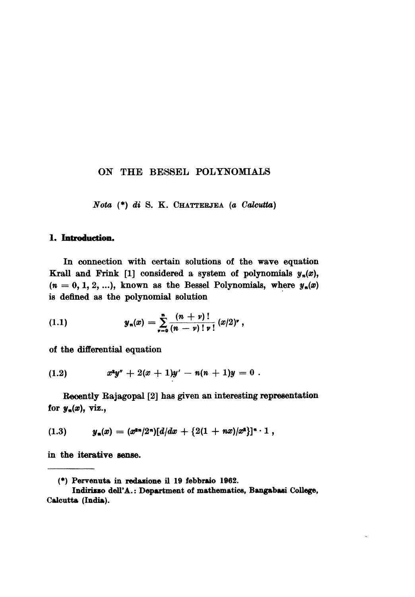### ON THE BESSEL POLYNOMIALS

Nota (\*) di S. K. CHATTERJEA (a Calcutta)

## 1. Introduction.

In connection with certain solutions of the wave equation Krall and Frink [1] considered a system of polynomials  $y_n(x)$ ,  $(n = 0, 1, 2, ...)$ , known as the Bessel Polynomials, where  $y_n(x)$ is defined as the polynomial solution

(1.1) 
$$
y_n(x) = \sum_{\nu=0}^n \frac{(n+\nu)!}{(n-\nu)! \nu!} (x/2)^{\nu},
$$

of the differential equation

$$
(1.2) \t x^2y'' + 2(x+1)y' - n(n+1)y = 0.
$$

Recently Bajagopal [2] has given an interesting representation for  $y_n(x)$ , viz.,

$$
(1.3) \t y_n(x) = (x^{2n}/2^n)[d/dx + {2(1 + nx)/x^2}]^{n} \cdot 1,
$$

in the iterative sense.

<sup>(\*)</sup> Pervenuta in redazione il 19 febbraio 1962.

Indirizzo dell'A.: Department of mathematics, Bangabasi College, Calcutta (India).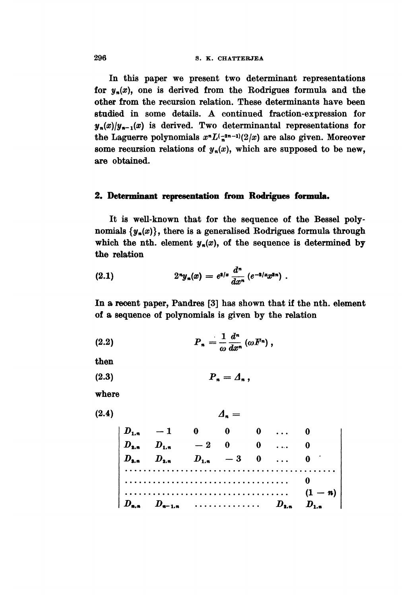In this paper we present two determinant representations for  $y_n(x)$ , one is derived from the Rodrigues formula and the other from the recursion relation. These determinants have been studied in some details. A continued fraction-expression for  $y_n(x)/y_{n-1}(x)$  is derived. Two determinantal representations for the Laguerre polynomials  $x^n L^{(-2n-1)}(2/x)$  are also given. Moreover some recursion relations of  $y_n(x)$ , which are supposed to be new, are obtained.

## 2. Determinant representation from Rodrigues formula.

It is well-known that for the sequence of the Bessel polynomials  $\{y_n(x)\}\$ , there is a generalised Rodrigues formula through which the nth. element  $y_n(x)$ , of the sequence is determined by the relation

(2.1) 
$$
2^n y_n(x) = e^{a/x} \frac{d^n}{dx^n} (e^{-a/x} x^{2n})
$$

In a recent paper, Pandres [3] has shown that if the nth. element of a sequence of polynomials is given by the relation

(2.2) 
$$
P_n = \frac{1}{\omega} \frac{d^n}{dx^n} (\omega F^n) ,
$$

then

$$
(2.3) \t\t\t P_n = \Lambda_n,
$$

where

 $(2.4)$ 

 $\begin{vmatrix}\nD_{1,n} & -1 & 0 & 0 & 0 & \dots & 0 \\
D_{2,n} & D_{1,n} & -2 & 0 & 0 & \dots & 0 \\
D_{3,n} & D_{2,n} & D_{1,n} & -3 & 0 & \dots & 0 \\
\vdots & \vdots & \vdots & \vdots & \vdots & \vdots \\
\vdots & \vdots & \vdots & \vdots & \vdots \\
D_{n,n} & D_{n-1,n} & \vdots & \vdots & \vdots \\
D_{n,n} & D_{n-1,n} & \vdots & \vdots & \vdots \\
\end{vmatrix}$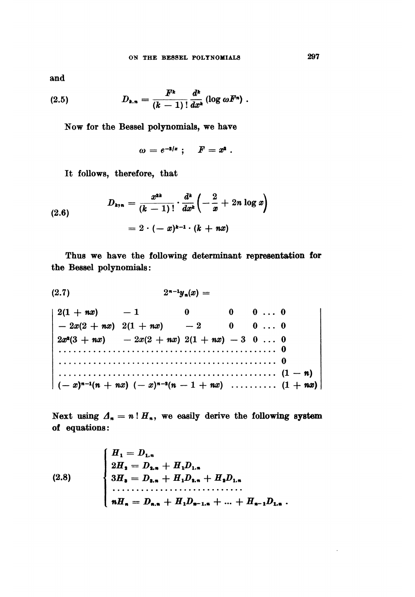and

$$
(2.5) \t\t D_{k,n} = \frac{F^k}{(k-1)!} \frac{d^k}{dx^k} (\log \omega F^n)
$$

Now for the Bessel polynomials, we have

$$
\omega = e^{-\mathbf{1}/x} \; ; \quad F = x^{\mathbf{1}} \; .
$$

It follows, therefore, that

(2.6) 
$$
D_{k,n} = \frac{x^{2k}}{(k-1)!} \cdot \frac{d^k}{dx^k} \left( -\frac{2}{x} + 2n \log x \right) = 2 \cdot (-x)^{k-1} \cdot (k + nx)
$$

Thus we have the following determinant representation for the Bessel polynomials:

$$
(2.7) \qquad \qquad 2^{n-1}y_n(x) =
$$

 $2(1 + nx)$  - 1 0<br>-  $2x(2 + nx)$   $2(1 + nx)$  - 2  $0 \qquad 0 \qquad \ldots \qquad 0$  $\overline{\mathbf{0}}$  $0 \ldots 0$ 

Next using  $\Lambda_n = n! H_n$ , we easily derive the following system of equations:

(2.8) 
$$
\begin{cases} H_1 = D_{1,n} \\ 2H_2 = D_{2,n} + H_1 D_{1,n} \\ 3H_3 = D_{3,n} + H_1 D_{2,n} + H_2 D_{1,n} \\ \dots \\ nH_n = D_{n,n} + H_1 D_{n-1,n} + \dots + H_{n-1} D_{1,n} \end{cases}
$$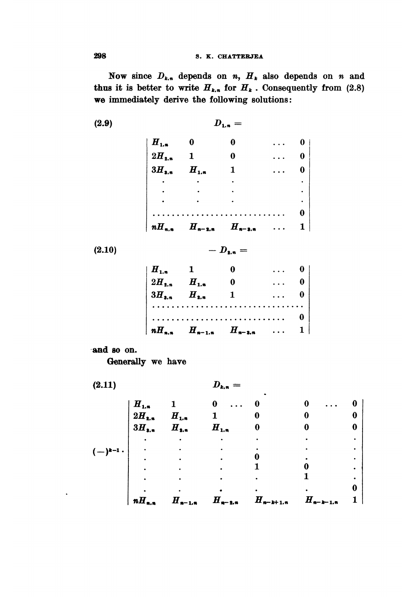#### S. K. CHATTERJEA

Now since  $D_{k,n}$  depends on n,  $H_k$  also depends on n and thus it is better to write  $H_{k,n}$  for  $H_k$ . Consequently from (2.8) we immediately derive the following solutions:

 $D_{1,n} =$ 

 $(2.9)$ 

| $nH_{n,n}$             | $H_{n-2,n}$  | $H_{n-3,n}$ | $1 \mid$                                                               |
|------------------------|--------------|-------------|------------------------------------------------------------------------|
|                        |              |             | $\mathbf{0}$                                                           |
|                        |              |             |                                                                        |
|                        |              |             |                                                                        |
|                        |              |             |                                                                        |
| $3H_{\bullet,\bullet}$ | $H_{1,n}$    | 1           |                                                                        |
| $2H_{2,n}$             | $\mathbf{1}$ | 0           | $\begin{bmatrix} 0 \\ 0 \\ 0 \\ \cdot \\ \cdot \\ \cdot \end{bmatrix}$ |
| $H_{1,n}$              | $\bf{0}$     | 0           |                                                                        |
|                        |              |             |                                                                        |

 $(2.10)$ 

 $- D_{a.n} =$ 

| $H_{1,n}$ 1 |                                      |  |  |
|-------------|--------------------------------------|--|--|
|             |                                      |  |  |
|             |                                      |  |  |
|             |                                      |  |  |
|             |                                      |  |  |
|             | $nH_{n,n}$ $H_{n-1,n}$ $H_{n-3,n}$ 1 |  |  |

'and 80 on.

Generally we have

 $(2.11)$ 

 $D_{k,n} =$ 

|         | $2H_{2,n}$<br>$3H_{3,n}$ | $H_{1,n}$<br>$H_{1,n}$ | $H_{1,n}$   |               |               |  |
|---------|--------------------------|------------------------|-------------|---------------|---------------|--|
| $k-1$ . |                          |                        |             |               |               |  |
|         |                          |                        |             |               |               |  |
|         | $nH_{n,n}$               | $H_{n-1,n}$            | $H_{n-2,n}$ | $H_{n-k+1,n}$ | $H_{n-k-1,n}$ |  |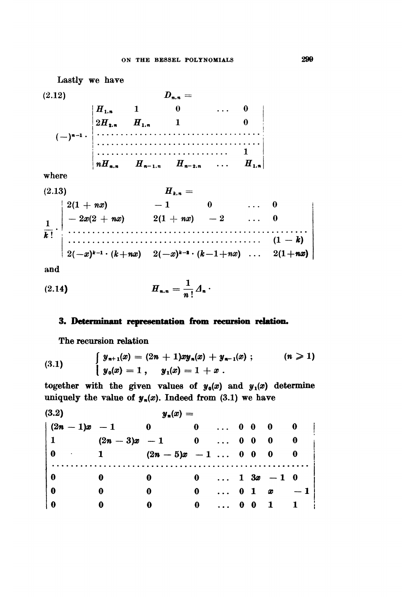Lastly we have  $D_{n,n} =$  $(2.12)$  $\begin{vmatrix} nH_{n,n} & H_{n-1,n} & H_{n-2,n} & \dots & H_{1,n} \end{vmatrix}$ where 3)  $H_{k,n} =$ <br>  $2(1 + nx)$   $-1$  0 ... 0  $(2.13)$ 

$$
\frac{1}{k!} \cdot \begin{vmatrix} -2x(2 + nx) & 2(1 + nx) & -2 & \dots & 0 \\ \dots & \dots & \dots & \dots & \dots & \dots \\ 2(-x)^{k-1} \cdot (k+nx) & 2(-x)^{k-2} \cdot (k-1+nx) & \dots & 2(1+nx) \end{vmatrix}
$$

and

#### 3. Determinant representation from recursion relation.

The recursion relation

(3.1) 
$$
\begin{cases} y_{n+1}(x) = (2n+1)xy_n(x) + y_{n-1}(x) ; & (n \geq 1) \\ y_0(x) = 1 , & y_1(x) = 1 + x . \end{cases}
$$

together with the given values of  $y_0(x)$  and  $y_1(x)$  determine uniquely the value of  $y_n(x)$ . Indeed from (3.1) we have

$$
(3.2) \t yn(x) =
$$
  
\t
$$
(2n - 1)x - 1 \t 0 \t 0 \t ... \t 0 \t 0 \t 0 \t 0
$$
  
\t
$$
1 \t (2n - 3)x - 1 \t 0 \t ... \t 0 \t 0 \t 0 \t 0
$$
  
\t
$$
0 \t 1 \t (2n - 5)x - 1 \t ... \t 0 \t 0 \t 0 \t 0
$$
  
\t
$$
0 \t 0 \t 0 \t 0 \t ... \t 1 \t 3x - 1 \t 0
$$
  
\t
$$
0 \t 0 \t 0 \t ... \t 0 \t 1 \t x - 1
$$
  
\t
$$
0 \t 0 \t 0 \t ... \t 0 \t 1 \t 1
$$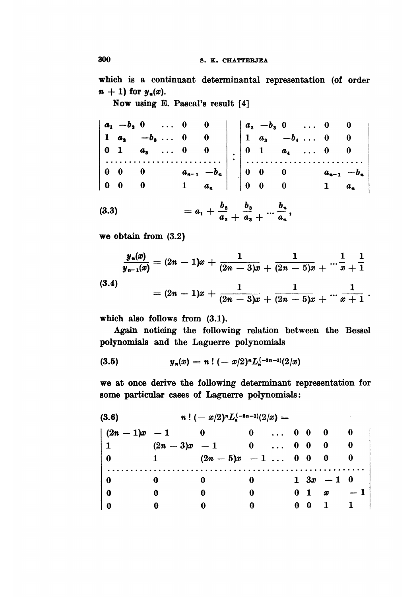which is a continuant determinantal representation (of order  $n + 1$ ) for  $y_n(x)$ .

Now using E. Pascal's result [4]

 $\begin{vmatrix} a_1 & -b_2 & 0 & \dots & 0 & 0 \\ 1 & a_1 & -b_3 & \dots & 0 & 0 \\ 0 & 1 & a_3 & \dots & 0 & 0 \\ \vdots & \vdots & \vdots & \vdots & \vdots & \vdots \\ 0 & 0 & 0 & a_{n-1} & -b_n \\ 0 & 0 & 0 & 1 & a_n \end{vmatrix}$  :  $\begin{vmatrix} a_2 & -b_3 & 0 & \dots & 0 & 0 \\ 1 & a_3 & -b_4 & \dots & 0 & 0 \\ 0 & 1 & a_4 & \dots & 0 & 0 \\ \vdots & \vdots & \vdots & \vdots & \$  $a_1 + \frac{b_2}{a_2} + \frac{b_3}{a_3} + \cdots + \frac{b_n}{a_n},$  $(3.3)$ 

we obtain from (3.2)

$$
\frac{y_n(x)}{y_{n-1}(x)} = (2n-1)x + \frac{1}{(2n-3)x} + \frac{1}{(2n-5)x} + \cdots + \frac{1}{x} + \frac{1}{1}
$$

 $(3.4)$ 

$$
= (2n-1)x + \frac{1}{(2n-3)x + \overline{(2n-5)x} + \cdots + \overline{x+1}.
$$

which also follows from (3.1).

Again noticing the following relation between the Bessel polynomials and the Laguerre polynomials

$$
(3.5) \t y_n(x) = n! (-x/2)^n L_n^{(-2n-1)}(2/x)
$$

we at once derive the following determinant representation for some particular cases of Laguerre polynomials:

| (3.6)           |              | $n! (-x/2)^n L_{\star}^{(-2n-1)}(2/x) =$ |                                                                 |  |                |                                          |     |
|-----------------|--------------|------------------------------------------|-----------------------------------------------------------------|--|----------------|------------------------------------------|-----|
| $(2n-1)x-1$     |              |                                          | $\begin{array}{ccccccccc}\n0 & \ldots & 0 & 0 & 0\n\end{array}$ |  |                | - 0                                      |     |
| $\vert 1 \vert$ |              | $(2n-3)x - 1$ 0  0 0 0                   |                                                                 |  |                | $\overline{\phantom{0}}$                 |     |
| $\mathbf{0}$    | $\mathbf{1}$ | $(2n-5)x - 1$ 0 0 0                      |                                                                 |  |                |                                          | - 0 |
| O               |              |                                          | 0                                                               |  |                | $1 \t3x - 1 \t0$                         |     |
| 0               |              |                                          | 0                                                               |  | 0 <sub>1</sub> | $x = 1$                                  |     |
| 1 O             |              |                                          |                                                                 |  | $0\quad 0$     | $\begin{array}{ccc} & 1 & 1 \end{array}$ |     |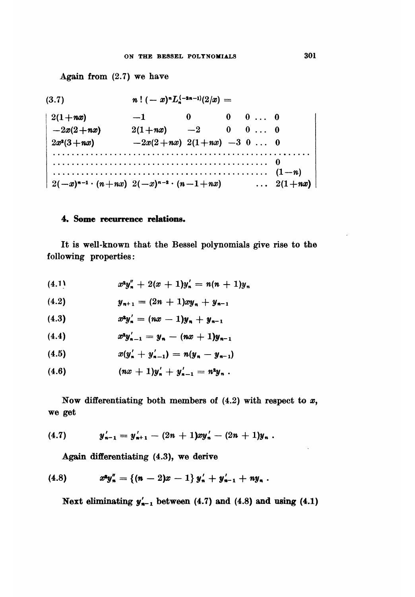Again from  $(2.7)$  we have

 $n! (-x)^n L^{(-2n-1)}(2/x) =$  $(3.7)$  $-1$  $\mathbf{0}$  $0 \quad 0 \ldots 0$  $2(1+nx)$  $2(1+nx)$   $-2$  0 0 ... 0  $-2x(2+nx)$  $-2x(2+nx)$   $2(1+nx)$   $-3$  0 ... 0  $2x^2(3+nx)$  $2(-x)^{n-1} \cdot (n+nx) \ \ 2(-x)^{n-2} \cdot (n-1+nx)$  $\ldots$  2(1+nx)

#### 4. Some recurrence relations.

It is well-known that the Bessel polynomials give rise to the following properties:

$$
(4.1) \t x^2 y''_n + 2(x+1) y'_n = n(n+1) y_n
$$

$$
(4.2) \t\t\t y_{n+1} = (2n+1)xy_n + y_{n-1}
$$

$$
(4.3) \t x^2 y'_n = (nx - 1)y_n + y_{n-1}
$$

$$
(4.4) \t x^2 y'_{n-1} = y_n - (nx + 1)y_{n-1}
$$

$$
(4.5) \t x(y'_n + y'_{n-1}) = n(y_n - y_{n-1})
$$

Now differentiating both members of  $(4.2)$  with respect to x, we get

$$
(4.7) \t y'_{n-1} = y'_{n+1} - (2n+1)xy'_{n} - (2n+1)y_{n}.
$$

Again differentiating (4.3), we derive

$$
(4.8) \t x^2 y_n'' = \{(n-2)x-1\} y_n' + y_{n-1}' + ny_n.
$$

Next eliminating  $y'_{n-1}$  between (4.7) and (4.8) and using (4.1)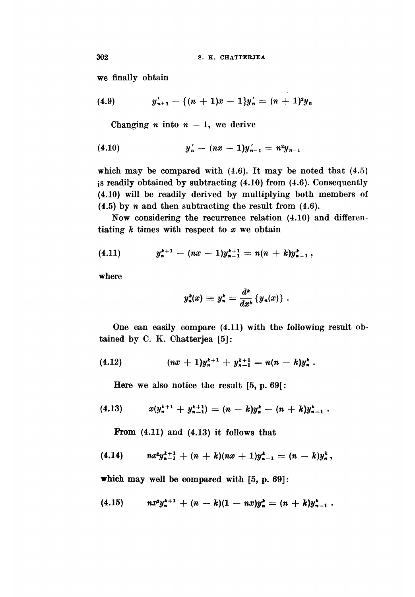we finally obtain

(4.9) 
$$
y'_{n+1} - \{(n+1)x - 1\}y'_n = (n+1)^2y_n
$$

Changing *n* into  $n - 1$ , we derive

$$
(4.10) \t\t\t y'_n - (nx - 1)y'_{n-1} = n^2y_{n-1}
$$

which may be compared with  $(4.6)$ . It may be noted that  $(4.5)$ is readily obtained by subtracting (4.10) from (4.6). Consequently (4.10) will be readily derived by multiplying both members of  $(4.5)$  by n and then subtracting the result from  $(4.6)$ .

Now considering the recurrence relation (4.10) and differentiating  $k$  times with respect to  $x$  we obtain

$$
(4.11) \t y_n^{k+1} - (nx-1)y_{n-1}^{k+1} = n(n+k)y_{n-1}^k,
$$

where

$$
y_n^k(x) \equiv y_n^k = \frac{d^k}{dx^k} \{y_n(x)\}.
$$

One can easily compare (4.11) with the following result obtained by C. K. Chatterjea [5]:

Here we also notice the result [5, p. 69[:

$$
(4.13) \t x(y_n^{k+1} + y_{n-1}^{k+1}) = (n-k)y_n^{k} - (n+k)y_{n-1}^{k}.
$$

From (4.11) and (4.13) it follows that

$$
(4.14) \qquad nx^2y_{n-1}^{k+1}+(n+k)(nx+1)y_{n-1}^k=(n-k)y_n^k,
$$

which may well be compared with [5, p. 69]:

$$
(4.15) \quad nx^2y_*^{k+1} + (n-k)(1-nx)y_*^k = (n+k)y_{n-1}^k.
$$